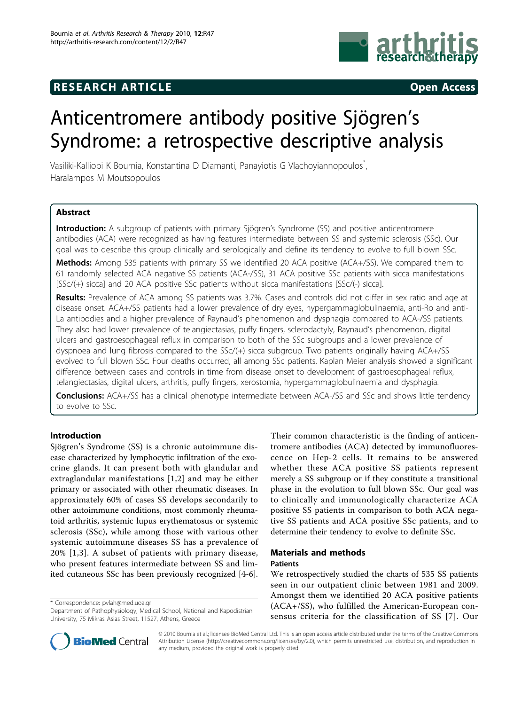## **RESEARCH ARTICLE Example 2014 CONSIDERING ACCESS**



# Anticentromere antibody positive Sjögren's Syndrome: a retrospective descriptive analysis

Vasiliki-Kalliopi K Bournia, Konstantina D Diamanti, Panayiotis G Vlachoyiannopoulos<sup>\*</sup>, , Haralampos M Moutsopoulos

## Abstract

Introduction: A subgroup of patients with primary Sjögren's Syndrome (SS) and positive anticentromere antibodies (ACA) were recognized as having features intermediate between SS and systemic sclerosis (SSc). Our goal was to describe this group clinically and serologically and define its tendency to evolve to full blown SSc.

Methods: Among 535 patients with primary SS we identified 20 ACA positive (ACA+/SS). We compared them to 61 randomly selected ACA negative SS patients (ACA-/SS), 31 ACA positive SSc patients with sicca manifestations [SSc/(+) sicca] and 20 ACA positive SSc patients without sicca manifestations [SSc/(-) sicca].

Results: Prevalence of ACA among SS patients was 3.7%. Cases and controls did not differ in sex ratio and age at disease onset. ACA+/SS patients had a lower prevalence of dry eyes, hypergammaglobulinaemia, anti-Ro and anti-La antibodies and a higher prevalence of Raynaud's phenomenon and dysphagia compared to ACA-/SS patients. They also had lower prevalence of telangiectasias, puffy fingers, sclerodactyly, Raynaud's phenomenon, digital ulcers and gastroesophageal reflux in comparison to both of the SSc subgroups and a lower prevalence of dyspnoea and lung fibrosis compared to the SSc/(+) sicca subgroup. Two patients originally having ACA+/SS evolved to full blown SSc. Four deaths occurred, all among SSc patients. Kaplan Meier analysis showed a significant difference between cases and controls in time from disease onset to development of gastroesophageal reflux, telangiectasias, digital ulcers, arthritis, puffy fingers, xerostomia, hypergammaglobulinaemia and dysphagia.

Conclusions: ACA+/SS has a clinical phenotype intermediate between ACA-/SS and SSc and shows little tendency to evolve to SSc.

## Introduction

Sjögren's Syndrome (SS) is a chronic autoimmune disease characterized by lymphocytic infiltration of the exocrine glands. It can present both with glandular and extraglandular manifestations [[1](#page-8-0),[2\]](#page-8-0) and may be either primary or associated with other rheumatic diseases. In approximately 60% of cases SS develops secondarily to other autoimmune conditions, most commonly rheumatoid arthritis, systemic lupus erythematosus or systemic sclerosis (SSc), while among those with various other systemic autoimmune diseases SS has a prevalence of 20% [\[1,3](#page-8-0)]. A subset of patients with primary disease, who present features intermediate between SS and limited cutaneous SSc has been previously recognized [[4-6](#page-8-0)].

\* Correspondence: [pvlah@med.uoa.gr](mailto:pvlah@med.uoa.gr)

Their common characteristic is the finding of anticentromere antibodies (ACA) detected by immunofluorescence on Hep-2 cells. It remains to be answered whether these ACA positive SS patients represent merely a SS subgroup or if they constitute a transitional phase in the evolution to full blown SSc. Our goal was to clinically and immunologically characterize ACA positive SS patients in comparison to both ACA negative SS patients and ACA positive SSc patients, and to determine their tendency to evolve to definite SSc.

#### Materials and methods Patients

We retrospectively studied the charts of 535 SS patients seen in our outpatient clinic between 1981 and 2009. Amongst them we identified 20 ACA positive patients (ACA+/SS), who fulfilled the American-European consensus criteria for the classification of SS [[7\]](#page-8-0). Our



© 2010 Bournia et al.; licensee BioMed Central Ltd. This is an open access article distributed under the terms of the Creative Commons Attribution License [\(http://creativecommons.org/licenses/by/2.0](http://creativecommons.org/licenses/by/2.0)), which permits unrestricted use, distribution, and reproduction in any medium, provided the original work is properly cited.

Department of Pathophysiology, Medical School, National and Kapodistrian University, 75 Mikras Asias Street, 11527, Athens, Greece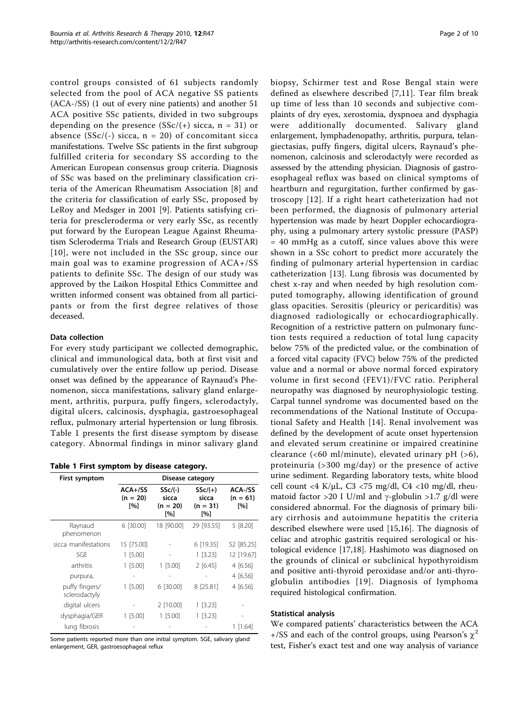control groups consisted of 61 subjects randomly selected from the pool of ACA negative SS patients (ACA-/SS) (1 out of every nine patients) and another 51 ACA positive SSc patients, divided in two subgroups depending on the presence  $(SSc/(+)$  sicca, n = 31) or absence (SSc/ $(-)$  sicca, n = 20) of concomitant sicca manifestations. Twelve SSc patients in the first subgroup fulfilled criteria for secondary SS according to the American European consensus group criteria. Diagnosis of SSc was based on the preliminary classification criteria of the American Rheumatism Association [[8\]](#page-8-0) and the criteria for classification of early SSc, proposed by LeRoy and Medsger in 2001 [[9\]](#page-8-0). Patients satisfying criteria for prescleroderma or very early SSc, as recently put forward by the European League Against Rheumatism Scleroderma Trials and Research Group (EUSTAR) [[10\]](#page-8-0), were not included in the SSc group, since our main goal was to examine progression of ACA+/SS patients to definite SSc. The design of our study was approved by the Laikon Hospital Ethics Committee and written informed consent was obtained from all participants or from the first degree relatives of those deceased.

## Data collection

For every study participant we collected demographic, clinical and immunological data, both at first visit and cumulatively over the entire follow up period. Disease onset was defined by the appearance of Raynaud's Phenomenon, sicca manifestations, salivary gland enlargement, arthritis, purpura, puffy fingers, sclerodactyly, digital ulcers, calcinosis, dysphagia, gastroesophageal reflux, pulmonary arterial hypertension or lung fibrosis. Table 1 presents the first disease symptom by disease category. Abnormal findings in minor salivary gland

Table 1 First symptom by disease category.

| First symptom                   | Disease category               |                                         |                                         |                              |  |
|---------------------------------|--------------------------------|-----------------------------------------|-----------------------------------------|------------------------------|--|
|                                 | $ACA+/SS$<br>$(n = 20)$<br>[%] | $SSc/(-)$<br>sicca<br>$(n = 20)$<br>[%] | $SSc/(+)$<br>sicca<br>$(n = 31)$<br>[%] | ACA-/SS<br>$(n = 61)$<br>[%] |  |
| Raynaud<br>phenomenon           | 6 [30.00]                      | 18 [90.00]                              | 29 [93.55]                              | 5 [8.20]                     |  |
| sicca manifestations            | 15 [75.00]                     |                                         | 6 [19.35]                               | 52 [85.25]                   |  |
| SGF                             | [5.00]                         | -                                       | $1$ [3.23]                              | 12 [19.67]                   |  |
| arthritis                       | 1 [5.00]                       | 1 [5.00]                                | 2[6.45]                                 | 4 [6.56]                     |  |
| purpura,                        |                                |                                         |                                         | 4 [6.56]                     |  |
| puffy fingers/<br>sclerodactyly | 1 [5.00]                       | 6 [30.00]                               | 8 [25.81]                               | 4 [6.56]                     |  |
| digital ulcers                  |                                | 2 [10.00]                               | $1$ [3.23]                              |                              |  |
| dysphagia/GER                   | [5.00]                         | 1 [5.00]                                | 1 [3.23]                                |                              |  |
| lung fibrosis                   |                                |                                         |                                         | 1 [1.64]                     |  |

Some patients reported more than one initial symptom. SGE, salivary gland enlargement, GER, gastroesophageal reflux

biopsy, Schirmer test and Rose Bengal stain were defined as elsewhere described [\[7,11](#page-8-0)]. Tear film break up time of less than 10 seconds and subjective complaints of dry eyes, xerostomia, dyspnoea and dysphagia were additionally documented. Salivary gland enlargement, lymphadenopathy, arthritis, purpura, telangiectasias, puffy fingers, digital ulcers, Raynaud's phenomenon, calcinosis and sclerodactyly were recorded as assessed by the attending physician. Diagnosis of gastroesophageal reflux was based on clinical symptoms of heartburn and regurgitation, further confirmed by gastroscopy [[12\]](#page-8-0). If a right heart catheterization had not been performed, the diagnosis of pulmonary arterial hypertension was made by heart Doppler echocardiography, using a pulmonary artery systolic pressure (PASP)  $= 40$  mmHg as a cutoff, since values above this were shown in a SSc cohort to predict more accurately the finding of pulmonary arterial hypertension in cardiac catheterization [[13\]](#page-8-0). Lung fibrosis was documented by chest x-ray and when needed by high resolution computed tomography, allowing identification of ground glass opacities. Serositis (pleuricy or pericarditis) was diagnosed radiologically or echocardiographically. Recognition of a restrictive pattern on pulmonary function tests required a reduction of total lung capacity below 75% of the predicted value, or the combination of a forced vital capacity (FVC) below 75% of the predicted value and a normal or above normal forced expiratory volume in first second (FEV1)/FVC ratio. Peripheral neuropathy was diagnosed by neurophysiologic testing. Carpal tunnel syndrome was documented based on the recommendations of the National Institute of Occupational Safety and Health [[14\]](#page-8-0). Renal involvement was defined by the development of acute onset hypertension and elevated serum creatinine or impaired creatinine clearance (<60 ml/minute), elevated urinary pH (>6), proteinuria (>300 mg/day) or the presence of active urine sediment. Regarding laboratory tests, white blood cell count <4 K/µL, C3 <75 mg/dl, C4 <10 mg/dl, rheumatoid factor >20 I U/ml and  $\gamma$ -globulin >1.7 g/dl were considered abnormal. For the diagnosis of primary biliary cirrhosis and autoimmune hepatitis the criteria described elsewhere were used [[15,16\]](#page-8-0). The diagnosis of celiac and atrophic gastritis required serological or histological evidence [\[17,18](#page-8-0)]. Hashimoto was diagnosed on the grounds of clinical or subclinical hypothyroidism and positive anti-thyroid peroxidase and/or anti-thyroglobulin antibodies [[19\]](#page-8-0). Diagnosis of lymphoma required histological confirmation.

#### Statistical analysis

We compared patients' characteristics between the ACA +/SS and each of the control groups, using Pearson's  $\chi^2$ test, Fisher's exact test and one way analysis of variance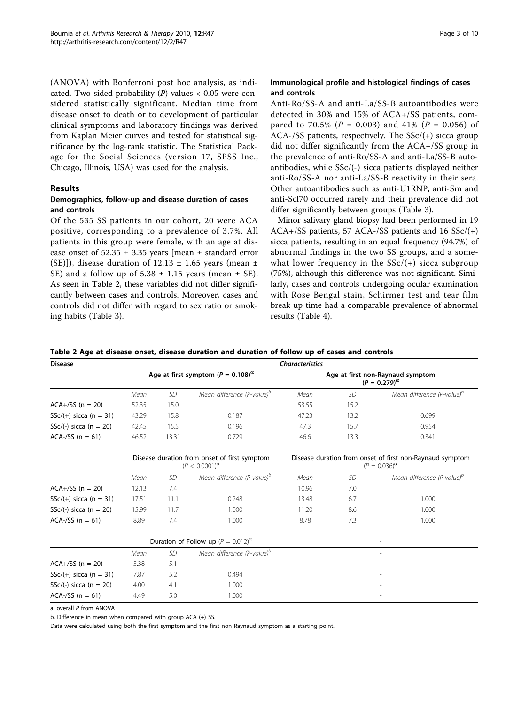(ANOVA) with Bonferroni post hoc analysis, as indicated. Two-sided probability  $(P)$  values < 0.05 were considered statistically significant. Median time from disease onset to death or to development of particular clinical symptoms and laboratory findings was derived from Kaplan Meier curves and tested for statistical significance by the log-rank statistic. The Statistical Package for the Social Sciences (version 17, SPSS Inc., Chicago, Illinois, USA) was used for the analysis.

## Results

#### Demographics, follow-up and disease duration of cases and controls

Of the 535 SS patients in our cohort, 20 were ACA positive, corresponding to a prevalence of 3.7%. All patients in this group were female, with an age at disease onset of  $52.35 \pm 3.35$  years [mean  $\pm$  standard error (SE)]), disease duration of 12.13  $\pm$  1.65 years (mean  $\pm$ SE) and a follow up of  $5.38 \pm 1.15$  years (mean  $\pm$  SE). As seen in Table 2, these variables did not differ significantly between cases and controls. Moreover, cases and controls did not differ with regard to sex ratio or smoking habits (Table [3](#page-3-0)).

## Immunological profile and histological findings of cases and controls

Anti-Ro/SS-A and anti-La/SS-B autoantibodies were detected in 30% and 15% of ACA+/SS patients, compared to 70.5% ( $P = 0.003$ ) and 41% ( $P = 0.056$ ) of ACA-/SS patients, respectively. The  $SSc/(+)$  sicca group did not differ significantly from the ACA+/SS group in the prevalence of anti-Ro/SS-A and anti-La/SS-B autoantibodies, while SSc/(-) sicca patients displayed neither anti-Ro/SS-A nor anti-La/SS-B reactivity in their sera. Other autoantibodies such as anti-U1RNP, anti-Sm and anti-Scl70 occurred rarely and their prevalence did not differ significantly between groups (Table [3](#page-3-0)).

Minor salivary gland biopsy had been performed in 19 ACA+/SS patients, 57 ACA-/SS patients and 16  $SSc/(+)$ sicca patients, resulting in an equal frequency (94.7%) of abnormal findings in the two SS groups, and a somewhat lower frequency in the  $SSc/(+)$  sicca subgroup (75%), although this difference was not significant. Similarly, cases and controls undergoing ocular examination with Rose Bengal stain, Schirmer test and tear film break up time had a comparable prevalence of abnormal results (Table [4\)](#page-4-0).

| <b>Disease</b>                                                          |       | <b>Characteristics</b>                                                             |                                                                      |       |           |                                        |  |  |
|-------------------------------------------------------------------------|-------|------------------------------------------------------------------------------------|----------------------------------------------------------------------|-------|-----------|----------------------------------------|--|--|
| Age at first symptom ( $P = 0.108$ ) <sup><math>\alpha</math></sup>     |       |                                                                                    | Age at first non-Raynaud symptom<br>$(P = 0.279)^{\alpha}$           |       |           |                                        |  |  |
|                                                                         | Mean  | SD                                                                                 | Mean difference (P-value) <sup>b</sup>                               | Mean  | <b>SD</b> | Mean difference (P-value) <sup>b</sup> |  |  |
| $ACA+/SS (n = 20)$                                                      | 52.35 | 15.0                                                                               |                                                                      | 53.55 | 15.2      |                                        |  |  |
| $SSc/(+)$ sicca (n = 31)                                                | 43.29 | 15.8                                                                               | 0.187                                                                | 47.23 | 13.2      | 0.699                                  |  |  |
| $SSc/(-)$ sicca (n = 20)                                                | 42.45 | 15.5                                                                               | 0.196                                                                | 47.3  | 15.7      | 0.954                                  |  |  |
| $ACA$ -/SS ( $n = 61$ )                                                 | 46.52 | 13.31                                                                              | 0.729                                                                | 46.6  | 13.3      | 0.341                                  |  |  |
| Disease duration from onset of first symptom<br>$(P < 0.0001)^{\alpha}$ |       | Disease duration from onset of first non-Raynaud symptom<br>$(P = 0.036)^{\alpha}$ |                                                                      |       |           |                                        |  |  |
|                                                                         | Mean  | <b>SD</b>                                                                          | Mean difference (P-value) <sup>b</sup>                               | Mean  | <b>SD</b> | Mean difference (P-value) <sup>b</sup> |  |  |
| $ACA+/SS (n = 20)$                                                      | 12.13 | 7.4                                                                                |                                                                      | 10.96 | 7.0       |                                        |  |  |
| $SSc/(+)$ sicca (n = 31)                                                | 17.51 | 11.1                                                                               | 0.248                                                                | 13.48 | 6.7       | 1.000                                  |  |  |
| $SSc/(-)$ sicca (n = 20)                                                | 15.99 | 11.7                                                                               | 1.000                                                                | 11.20 | 8.6       | 1.000                                  |  |  |
| $ACA$ -/SS (n = 61)                                                     | 8.89  | 7.4                                                                                | 1.000                                                                | 8.78  | 7.3       | 1.000                                  |  |  |
|                                                                         |       |                                                                                    | Duration of Follow up ( $P = 0.012$ ) <sup><math>\alpha</math></sup> |       |           |                                        |  |  |
|                                                                         | Mean  | <b>SD</b>                                                                          | Mean difference (P-value) <sup>b</sup>                               |       |           |                                        |  |  |
| $ACA+/SS$ (n = 20)                                                      | 5.38  | 5.1                                                                                |                                                                      |       |           |                                        |  |  |
| $SSc/(+)$ sicca (n = 31)                                                | 7.87  | 5.2                                                                                | 0.494                                                                |       |           |                                        |  |  |
| $SSc/(-)$ sicca (n = 20)                                                | 4.00  | 4.1                                                                                | 1.000                                                                |       |           |                                        |  |  |
| $ACA$ -/SS (n = 61)                                                     | 4.49  | 5.0                                                                                | 1.000                                                                |       |           |                                        |  |  |

Table 2 Age at disease onset, disease duration and duration of follow up of cases and controls

a. overall P from ANOVA

b. Difference in mean when compared with group ACA (+) SS.

Data were calculated using both the first symptom and the first non Raynaud symptom as a starting point.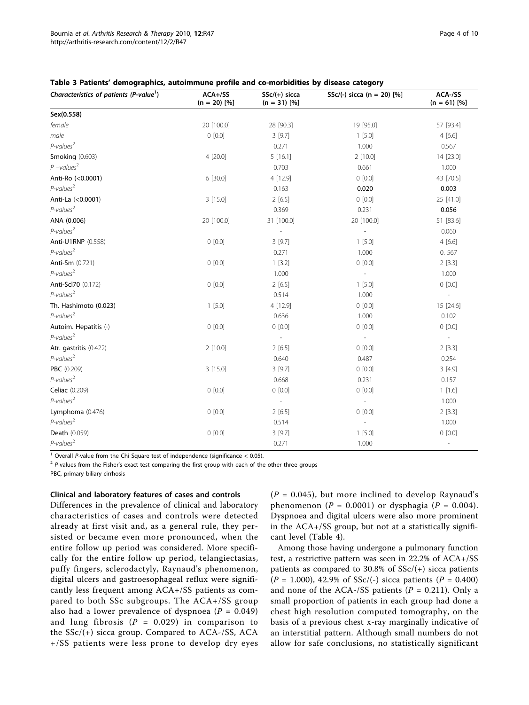<span id="page-3-0"></span>

| Table 3 Patients' demographics, autoimmune profile and co-morbidities by disease category |  |  |  |  |  |  |
|-------------------------------------------------------------------------------------------|--|--|--|--|--|--|
|-------------------------------------------------------------------------------------------|--|--|--|--|--|--|

| Characteristics of patients (P-value <sup>1</sup> ) | ACA+/SS<br>$(n = 20)$ [%] | $SSc/(+)$ sicca<br>$(n = 31)$ [%] | SSc/(-) sicca (n = 20) [%]   | ACA-/SS<br>$(n = 61)$ [%] |
|-----------------------------------------------------|---------------------------|-----------------------------------|------------------------------|---------------------------|
| Sex(0.558)                                          |                           |                                   |                              |                           |
| female                                              | 20 [100.0]                | 28 [90.3]                         | 19 [95.0]                    | 57 [93.4]                 |
| male                                                | 0 [0.0]                   | 3[9.7]                            | 1[5.0]                       | 4[6.6]                    |
| $P$ -values <sup>2</sup>                            |                           | 0.271                             | 1.000                        | 0.567                     |
| Smoking (0.603)                                     | 4 [20.0]                  | 5[16.1]                           | 2 [10.0]                     | 14 [23.0]                 |
| $P$ -values <sup>2</sup>                            |                           | 0.703                             | 0.661                        | 1.000                     |
| Anti-Ro (<0.0001)                                   | 6 [30.0]                  | 4 [12.9]                          | 0 [0.0]                      | 43 [70.5]                 |
| $P$ -values <sup>2</sup>                            |                           | 0.163                             | 0.020                        | 0.003                     |
| Anti-La (<0.0001)                                   | 3 [15.0]                  | 2[6.5]                            | 0 [0.0]                      | 25 [41.0]                 |
| $P$ -values $^2$                                    |                           | 0.369                             | 0.231                        | 0.056                     |
| ANA (0.006)                                         | 20 [100.0]                | 31 [100.0]                        | 20 [100.0]                   | 51 [83.6]                 |
| $P$ -values <sup>2</sup>                            |                           | $\overline{\phantom{a}}$          | $\qquad \qquad \blacksquare$ | 0.060                     |
| Anti-U1RNP (0.558)                                  | 0 [0.0]                   | 3 [9.7]                           | 1[5.0]                       | 4[6.6]                    |
| $P$ -values <sup>2</sup>                            |                           | 0.271                             | 1.000                        | 0.567                     |
| Anti-Sm (0.721)                                     | 0 [0.0]                   | 1[3.2]                            | 0 [0.0]                      | 2[3.3]                    |
| $P$ -values <sup>2</sup>                            |                           | 1.000                             | $\bar{\phantom{a}}$          | 1.000                     |
| Anti-Scl70 (0.172)                                  | 0 [0.0]                   | 2[6.5]                            | 1[5.0]                       | 0[0.0]                    |
| $P$ -values $^2$                                    |                           | 0.514                             | 1.000                        | $\overline{\phantom{a}}$  |
| Th. Hashimoto (0.023)                               | 1[5.0]                    | 4 [12.9]                          | 0 [0.0]                      | 15 [24.6]                 |
| $P$ -values $^2$                                    |                           | 0.636                             | 1.000                        | 0.102                     |
| Autoim. Hepatitis (-)                               | 0 [0.0]                   | 0[0.0]                            | 0 [0.0]                      | 0[0.0]                    |
| $P$ -values <sup>2</sup>                            |                           | $\overline{\phantom{a}}$          | $\bar{\phantom{a}}$          | $\overline{\phantom{a}}$  |
| Atr. gastritis (0.422)                              | 2 [10.0]                  | 2[6.5]                            | 0 [0.0]                      | 2[3.3]                    |
| $P$ -values <sup>2</sup>                            |                           | 0.640                             | 0.487                        | 0.254                     |
| PBC (0.209)                                         | 3 [15.0]                  | 3[9.7]                            | 0 [0.0]                      | 3[4.9]                    |
| $P$ -values $^2$                                    |                           | 0.668                             | 0.231                        | 0.157                     |
| Celiac (0.209)                                      | 0 [0.0]                   | 0[0.0]                            | 0 [0.0]                      | 1[1.6]                    |
| $P$ -values $^2$                                    |                           | $\overline{\phantom{a}}$          | $\bar{\phantom{a}}$          | 1.000                     |
| Lymphoma (0.476)                                    | 0 [0.0]                   | 2[6.5]                            | 0 [0.0]                      | 2[3.3]                    |
| $P$ -values <sup>2</sup>                            |                           | 0.514                             | $\sim$                       | 1.000                     |
| Death (0.059)                                       | 0 [0.0]                   | 3[9.7]                            | 1[5.0]                       | 0 [0.0]                   |
| $P$ -values <sup>2</sup>                            |                           | 0.271                             | 1.000                        | $\overline{\phantom{a}}$  |

 $\frac{1}{1}$  Overall P-value from the Chi Square test of independence (significance < 0.05).

 $2$  P-values from the Fisher's exact test comparing the first group with each of the other three groups

PBC, primary biliary cirrhosis

#### Clinical and laboratory features of cases and controls

Differences in the prevalence of clinical and laboratory characteristics of cases and controls were detected already at first visit and, as a general rule, they persisted or became even more pronounced, when the entire follow up period was considered. More specifically for the entire follow up period, telangiectasias, puffy fingers, sclerodactyly, Raynaud's phenomenon, digital ulcers and gastroesophageal reflux were significantly less frequent among ACA+/SS patients as compared to both SSc subgroups. The ACA+/SS group also had a lower prevalence of dyspnoea ( $P = 0.049$ ) and lung fibrosis ( $P = 0.029$ ) in comparison to the SSc/(+) sicca group. Compared to ACA-/SS, ACA +/SS patients were less prone to develop dry eyes

 $(P = 0.045)$ , but more inclined to develop Raynaud's phenomenon ( $P = 0.0001$ ) or dysphagia ( $P = 0.004$ ). Dyspnoea and digital ulcers were also more prominent in the ACA+/SS group, but not at a statistically significant level (Table [4\)](#page-4-0).

Among those having undergone a pulmonary function test, a restrictive pattern was seen in 22.2% of ACA+/SS patients as compared to 30.8% of SSc/(+) sicca patients  $(P = 1.000)$ , 42.9% of SSc/(-) sicca patients  $(P = 0.400)$ and none of the ACA-/SS patients ( $P = 0.211$ ). Only a small proportion of patients in each group had done a chest high resolution computed tomography, on the basis of a previous chest x-ray marginally indicative of an interstitial pattern. Although small numbers do not allow for safe conclusions, no statistically significant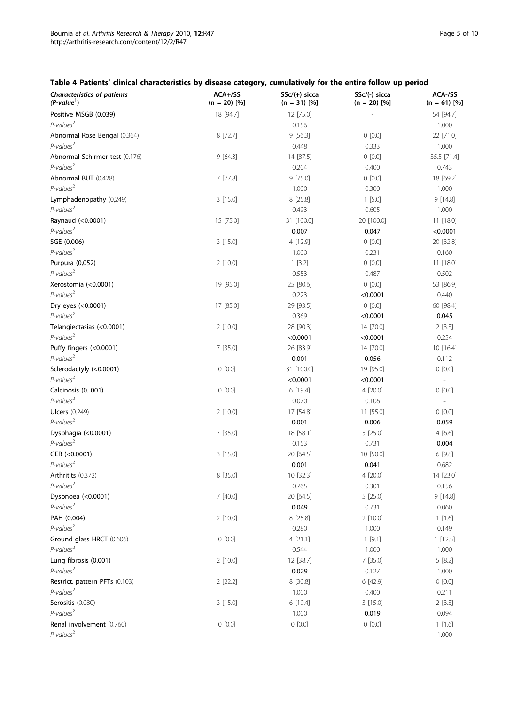## <span id="page-4-0"></span>Table 4 Patients' clinical characteristics by disease category, cumulatively for the entire follow up period

| $ACA+/SS$ | $SSc/(+)$ sicca                                                                                                                                                                                                                                                                                                       | SSc/(-) sicca                                                                                                                                                                                                                                                                                                                                                                                                                                                                                                                                                         | ACA-/SS<br>$(n = 61)$ [%]                                                                                                                                                                                                                                                                                                                                                                                                                                                                                                                                                                     |
|-----------|-----------------------------------------------------------------------------------------------------------------------------------------------------------------------------------------------------------------------------------------------------------------------------------------------------------------------|-----------------------------------------------------------------------------------------------------------------------------------------------------------------------------------------------------------------------------------------------------------------------------------------------------------------------------------------------------------------------------------------------------------------------------------------------------------------------------------------------------------------------------------------------------------------------|-----------------------------------------------------------------------------------------------------------------------------------------------------------------------------------------------------------------------------------------------------------------------------------------------------------------------------------------------------------------------------------------------------------------------------------------------------------------------------------------------------------------------------------------------------------------------------------------------|
|           |                                                                                                                                                                                                                                                                                                                       |                                                                                                                                                                                                                                                                                                                                                                                                                                                                                                                                                                       | 54 [94.7]                                                                                                                                                                                                                                                                                                                                                                                                                                                                                                                                                                                     |
|           |                                                                                                                                                                                                                                                                                                                       |                                                                                                                                                                                                                                                                                                                                                                                                                                                                                                                                                                       | 1.000                                                                                                                                                                                                                                                                                                                                                                                                                                                                                                                                                                                         |
|           |                                                                                                                                                                                                                                                                                                                       |                                                                                                                                                                                                                                                                                                                                                                                                                                                                                                                                                                       | 22 [71.0]                                                                                                                                                                                                                                                                                                                                                                                                                                                                                                                                                                                     |
|           |                                                                                                                                                                                                                                                                                                                       |                                                                                                                                                                                                                                                                                                                                                                                                                                                                                                                                                                       | 1.000                                                                                                                                                                                                                                                                                                                                                                                                                                                                                                                                                                                         |
|           |                                                                                                                                                                                                                                                                                                                       |                                                                                                                                                                                                                                                                                                                                                                                                                                                                                                                                                                       | 35.5 [71.4]                                                                                                                                                                                                                                                                                                                                                                                                                                                                                                                                                                                   |
|           |                                                                                                                                                                                                                                                                                                                       |                                                                                                                                                                                                                                                                                                                                                                                                                                                                                                                                                                       | 0.743                                                                                                                                                                                                                                                                                                                                                                                                                                                                                                                                                                                         |
|           |                                                                                                                                                                                                                                                                                                                       |                                                                                                                                                                                                                                                                                                                                                                                                                                                                                                                                                                       | 18 [69.2]                                                                                                                                                                                                                                                                                                                                                                                                                                                                                                                                                                                     |
|           |                                                                                                                                                                                                                                                                                                                       |                                                                                                                                                                                                                                                                                                                                                                                                                                                                                                                                                                       | 1.000                                                                                                                                                                                                                                                                                                                                                                                                                                                                                                                                                                                         |
|           |                                                                                                                                                                                                                                                                                                                       |                                                                                                                                                                                                                                                                                                                                                                                                                                                                                                                                                                       | 9 [14.8]                                                                                                                                                                                                                                                                                                                                                                                                                                                                                                                                                                                      |
|           |                                                                                                                                                                                                                                                                                                                       |                                                                                                                                                                                                                                                                                                                                                                                                                                                                                                                                                                       | 1.000                                                                                                                                                                                                                                                                                                                                                                                                                                                                                                                                                                                         |
|           |                                                                                                                                                                                                                                                                                                                       |                                                                                                                                                                                                                                                                                                                                                                                                                                                                                                                                                                       | 11 [18.0]                                                                                                                                                                                                                                                                                                                                                                                                                                                                                                                                                                                     |
|           |                                                                                                                                                                                                                                                                                                                       |                                                                                                                                                                                                                                                                                                                                                                                                                                                                                                                                                                       | < 0.0001                                                                                                                                                                                                                                                                                                                                                                                                                                                                                                                                                                                      |
|           |                                                                                                                                                                                                                                                                                                                       |                                                                                                                                                                                                                                                                                                                                                                                                                                                                                                                                                                       | 20 [32.8]                                                                                                                                                                                                                                                                                                                                                                                                                                                                                                                                                                                     |
|           |                                                                                                                                                                                                                                                                                                                       |                                                                                                                                                                                                                                                                                                                                                                                                                                                                                                                                                                       | 0.160                                                                                                                                                                                                                                                                                                                                                                                                                                                                                                                                                                                         |
|           |                                                                                                                                                                                                                                                                                                                       |                                                                                                                                                                                                                                                                                                                                                                                                                                                                                                                                                                       | 11 [18.0]                                                                                                                                                                                                                                                                                                                                                                                                                                                                                                                                                                                     |
|           |                                                                                                                                                                                                                                                                                                                       |                                                                                                                                                                                                                                                                                                                                                                                                                                                                                                                                                                       | 0.502                                                                                                                                                                                                                                                                                                                                                                                                                                                                                                                                                                                         |
|           |                                                                                                                                                                                                                                                                                                                       |                                                                                                                                                                                                                                                                                                                                                                                                                                                                                                                                                                       | 53 [86.9]                                                                                                                                                                                                                                                                                                                                                                                                                                                                                                                                                                                     |
|           |                                                                                                                                                                                                                                                                                                                       |                                                                                                                                                                                                                                                                                                                                                                                                                                                                                                                                                                       | 0.440                                                                                                                                                                                                                                                                                                                                                                                                                                                                                                                                                                                         |
|           |                                                                                                                                                                                                                                                                                                                       |                                                                                                                                                                                                                                                                                                                                                                                                                                                                                                                                                                       | 60 [98.4]                                                                                                                                                                                                                                                                                                                                                                                                                                                                                                                                                                                     |
|           |                                                                                                                                                                                                                                                                                                                       |                                                                                                                                                                                                                                                                                                                                                                                                                                                                                                                                                                       | 0.045                                                                                                                                                                                                                                                                                                                                                                                                                                                                                                                                                                                         |
|           |                                                                                                                                                                                                                                                                                                                       |                                                                                                                                                                                                                                                                                                                                                                                                                                                                                                                                                                       | 2[3.3]                                                                                                                                                                                                                                                                                                                                                                                                                                                                                                                                                                                        |
|           |                                                                                                                                                                                                                                                                                                                       |                                                                                                                                                                                                                                                                                                                                                                                                                                                                                                                                                                       | 0.254                                                                                                                                                                                                                                                                                                                                                                                                                                                                                                                                                                                         |
|           |                                                                                                                                                                                                                                                                                                                       |                                                                                                                                                                                                                                                                                                                                                                                                                                                                                                                                                                       | 10 [16.4]                                                                                                                                                                                                                                                                                                                                                                                                                                                                                                                                                                                     |
|           |                                                                                                                                                                                                                                                                                                                       |                                                                                                                                                                                                                                                                                                                                                                                                                                                                                                                                                                       | 0.112                                                                                                                                                                                                                                                                                                                                                                                                                                                                                                                                                                                         |
|           |                                                                                                                                                                                                                                                                                                                       |                                                                                                                                                                                                                                                                                                                                                                                                                                                                                                                                                                       | 0[0.0]                                                                                                                                                                                                                                                                                                                                                                                                                                                                                                                                                                                        |
|           |                                                                                                                                                                                                                                                                                                                       |                                                                                                                                                                                                                                                                                                                                                                                                                                                                                                                                                                       | $\overline{\phantom{a}}$                                                                                                                                                                                                                                                                                                                                                                                                                                                                                                                                                                      |
|           |                                                                                                                                                                                                                                                                                                                       |                                                                                                                                                                                                                                                                                                                                                                                                                                                                                                                                                                       | 0[0.0]                                                                                                                                                                                                                                                                                                                                                                                                                                                                                                                                                                                        |
|           |                                                                                                                                                                                                                                                                                                                       |                                                                                                                                                                                                                                                                                                                                                                                                                                                                                                                                                                       | $\blacksquare$                                                                                                                                                                                                                                                                                                                                                                                                                                                                                                                                                                                |
|           |                                                                                                                                                                                                                                                                                                                       |                                                                                                                                                                                                                                                                                                                                                                                                                                                                                                                                                                       | 0[0.0]                                                                                                                                                                                                                                                                                                                                                                                                                                                                                                                                                                                        |
|           |                                                                                                                                                                                                                                                                                                                       |                                                                                                                                                                                                                                                                                                                                                                                                                                                                                                                                                                       | 0.059                                                                                                                                                                                                                                                                                                                                                                                                                                                                                                                                                                                         |
|           |                                                                                                                                                                                                                                                                                                                       |                                                                                                                                                                                                                                                                                                                                                                                                                                                                                                                                                                       | 4[6.6]                                                                                                                                                                                                                                                                                                                                                                                                                                                                                                                                                                                        |
|           |                                                                                                                                                                                                                                                                                                                       |                                                                                                                                                                                                                                                                                                                                                                                                                                                                                                                                                                       | 0.004                                                                                                                                                                                                                                                                                                                                                                                                                                                                                                                                                                                         |
|           |                                                                                                                                                                                                                                                                                                                       |                                                                                                                                                                                                                                                                                                                                                                                                                                                                                                                                                                       | 6 [9.8]                                                                                                                                                                                                                                                                                                                                                                                                                                                                                                                                                                                       |
|           |                                                                                                                                                                                                                                                                                                                       |                                                                                                                                                                                                                                                                                                                                                                                                                                                                                                                                                                       | 0.682                                                                                                                                                                                                                                                                                                                                                                                                                                                                                                                                                                                         |
|           |                                                                                                                                                                                                                                                                                                                       |                                                                                                                                                                                                                                                                                                                                                                                                                                                                                                                                                                       | 14 [23.0]                                                                                                                                                                                                                                                                                                                                                                                                                                                                                                                                                                                     |
|           |                                                                                                                                                                                                                                                                                                                       |                                                                                                                                                                                                                                                                                                                                                                                                                                                                                                                                                                       | 0.156                                                                                                                                                                                                                                                                                                                                                                                                                                                                                                                                                                                         |
|           |                                                                                                                                                                                                                                                                                                                       |                                                                                                                                                                                                                                                                                                                                                                                                                                                                                                                                                                       | 9 [14.8]                                                                                                                                                                                                                                                                                                                                                                                                                                                                                                                                                                                      |
|           |                                                                                                                                                                                                                                                                                                                       |                                                                                                                                                                                                                                                                                                                                                                                                                                                                                                                                                                       | 0.060                                                                                                                                                                                                                                                                                                                                                                                                                                                                                                                                                                                         |
|           |                                                                                                                                                                                                                                                                                                                       |                                                                                                                                                                                                                                                                                                                                                                                                                                                                                                                                                                       | 1[1.6]                                                                                                                                                                                                                                                                                                                                                                                                                                                                                                                                                                                        |
|           |                                                                                                                                                                                                                                                                                                                       |                                                                                                                                                                                                                                                                                                                                                                                                                                                                                                                                                                       | 0.149                                                                                                                                                                                                                                                                                                                                                                                                                                                                                                                                                                                         |
|           |                                                                                                                                                                                                                                                                                                                       |                                                                                                                                                                                                                                                                                                                                                                                                                                                                                                                                                                       | 1[12.5]                                                                                                                                                                                                                                                                                                                                                                                                                                                                                                                                                                                       |
|           |                                                                                                                                                                                                                                                                                                                       |                                                                                                                                                                                                                                                                                                                                                                                                                                                                                                                                                                       | 1.000                                                                                                                                                                                                                                                                                                                                                                                                                                                                                                                                                                                         |
|           |                                                                                                                                                                                                                                                                                                                       |                                                                                                                                                                                                                                                                                                                                                                                                                                                                                                                                                                       | 5[8.2]                                                                                                                                                                                                                                                                                                                                                                                                                                                                                                                                                                                        |
|           |                                                                                                                                                                                                                                                                                                                       |                                                                                                                                                                                                                                                                                                                                                                                                                                                                                                                                                                       | 1.000                                                                                                                                                                                                                                                                                                                                                                                                                                                                                                                                                                                         |
|           |                                                                                                                                                                                                                                                                                                                       |                                                                                                                                                                                                                                                                                                                                                                                                                                                                                                                                                                       | 0[0.0]                                                                                                                                                                                                                                                                                                                                                                                                                                                                                                                                                                                        |
|           |                                                                                                                                                                                                                                                                                                                       |                                                                                                                                                                                                                                                                                                                                                                                                                                                                                                                                                                       | 0.211                                                                                                                                                                                                                                                                                                                                                                                                                                                                                                                                                                                         |
|           |                                                                                                                                                                                                                                                                                                                       |                                                                                                                                                                                                                                                                                                                                                                                                                                                                                                                                                                       | 2[3.3]                                                                                                                                                                                                                                                                                                                                                                                                                                                                                                                                                                                        |
|           |                                                                                                                                                                                                                                                                                                                       |                                                                                                                                                                                                                                                                                                                                                                                                                                                                                                                                                                       | 0.094                                                                                                                                                                                                                                                                                                                                                                                                                                                                                                                                                                                         |
|           |                                                                                                                                                                                                                                                                                                                       |                                                                                                                                                                                                                                                                                                                                                                                                                                                                                                                                                                       | 1[1.6]                                                                                                                                                                                                                                                                                                                                                                                                                                                                                                                                                                                        |
|           |                                                                                                                                                                                                                                                                                                                       |                                                                                                                                                                                                                                                                                                                                                                                                                                                                                                                                                                       | 1.000                                                                                                                                                                                                                                                                                                                                                                                                                                                                                                                                                                                         |
|           | $(n = 20)$ [%]<br>18 [94.7]<br>8 [72.7]<br>9[64.3]<br>7 [77.8]<br>3 [15.0]<br>15 [75.0]<br>3[15.0]<br>2[10.0]<br>19 [95.0]<br>17 [85.0]<br>2 [10.0]<br>7[35.0]<br>0 [0.0]<br>0 [0.0]<br>2 [10.0]<br>7 [35.0]<br>3 [15.0]<br>8 [35.0]<br>7 [40.0]<br>2 [10.0]<br>0 [0.0]<br>2 [10.0]<br>2[22.2]<br>3 [15.0]<br>0 [0.0] | $(n = 31)$ [%]<br>12 [75.0]<br>0.156<br>9 [56.3]<br>0.448<br>14 [87.5]<br>0.204<br>9 [75.0]<br>1.000<br>8 [25.8]<br>0.493<br>31 [100.0]<br>0.007<br>4 [12.9]<br>1.000<br>1[3.2]<br>0.553<br>25 [80.6]<br>0.223<br>29 [93.5]<br>0.369<br>28 [90.3]<br>< 0.0001<br>26 [83.9]<br>0.001<br>31 [100.0]<br>< 0.0001<br>6 [19.4]<br>0.070<br>17 [54.8]<br>0.001<br>18 [58.1]<br>0.153<br>20 [64.5]<br>0.001<br>10 [32.3]<br>0.765<br>20 [64.5]<br>0.049<br>8 [25.8]<br>0.280<br>4 [21.1]<br>0.544<br>12 [38.7]<br>0.029<br>8 [30.8]<br>1.000<br>6 [19.4]<br>1.000<br>0 [0.0] | abcase category, camalacrely for the entire follow up perfou<br>$(n = 20)$ [%]<br>0[0.0]<br>0.333<br>0[0.0]<br>0.400<br>0[0.0]<br>0.300<br>1[5.0]<br>0.605<br>20 [100.0]<br>0.047<br>0[0.0]<br>0.231<br>0[0.0]<br>0.487<br>0[0.0]<br>< 0.0001<br>0[0.0]<br>< 0.0001<br>14 [70.0]<br>< 0.0001<br>14 [70.0]<br>0.056<br>19 [95.0]<br>< 0.0001<br>4 [20.0]<br>0.106<br>11 [55.0]<br>0.006<br>5 [25.0]<br>0.731<br>10 [50.0]<br>0.041<br>4 [20.0]<br>0.301<br>5 [25.0]<br>0.731<br>2 [10.0]<br>1.000<br>1[9.1]<br>1.000<br>7 [35.0]<br>0.127<br>6 [42.9]<br>0.400<br>3 [15.0]<br>0.019<br>0 [0.0] |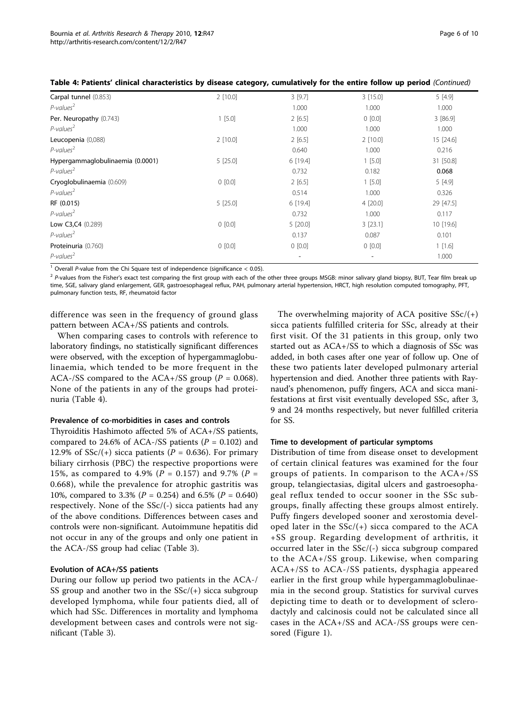| Carpal tunnel (0.853)            | 2 [10.0] | 3[9.7]                   | 3[15.0]        | 5[4.9]    |
|----------------------------------|----------|--------------------------|----------------|-----------|
| $P$ -values <sup>2</sup>         |          | 1.000                    | 1.000          | 1.000     |
| Per. Neuropathy (0.743)          | 1[5.0]   | 2[6.5]                   | 0[0.0]         | 3[86.9]   |
| $P$ -values <sup>2</sup>         |          | 1.000                    | 1.000          | 1.000     |
| Leucopenia (0,088)               | 2[10.0]  | 2[6.5]                   | 2[10.0]        | 15 [24.6] |
| $P$ -values <sup>2</sup>         |          | 0.640                    | 1.000          | 0.216     |
| Hypergammaglobulinaemia (0.0001) | 5 [25.0] | 6 [19.4]                 | 1[5.0]         | 31 [50.8] |
| $P$ -values <sup>2</sup>         |          | 0.732                    | 0.182          | 0.068     |
| Cryoglobulinaemia (0.609)        | 0 [0.0]  | 2[6.5]                   | 1[5.0]         | 5[4.9]    |
| $P$ -values <sup>2</sup>         |          | 0.514                    | 1.000          | 0.326     |
| RF (0.015)                       | 5[25.0]  | 6 [19.4]                 | 4 [20.0]       | 29 [47.5] |
| $P$ -values <sup>2</sup>         |          | 0.732                    | 1.000          | 0.117     |
| Low C3,C4 (0.289)                | 0 [0.0]  | $5$ [20.0]               | 3 [23.1]       | 10 [19.6] |
| $P$ -values <sup>2</sup>         |          | 0.137                    | 0.087          | 0.101     |
| Proteinuria (0.760)              | 0 [0.0]  | 0[0.0]                   | 0[0.0]         | 1[1.6]    |
| $P$ -values <sup>2</sup>         |          | $\overline{\phantom{a}}$ | $\blacksquare$ | 1.000     |
|                                  |          |                          |                |           |

| Table 4: Patients' clinical characteristics by disease category, cumulatively for the entire follow up period (Continued) |  |
|---------------------------------------------------------------------------------------------------------------------------|--|
|---------------------------------------------------------------------------------------------------------------------------|--|

 $\frac{1}{1}$  Overall P-value from the Chi Square test of independence (significance < 0.05).

 $2$  P-values from the Fisher's exact test comparing the first group with each of the other three groups MSGB: minor salivary gland biopsy, BUT, Tear film break up time, SGE, salivary gland enlargement, GER, gastroesophageal reflux, PAH, pulmonary arterial hypertension, HRCT, high resolution computed tomography, PFT, pulmonary function tests, RF, rheumatoid factor

difference was seen in the frequency of ground glass pattern between ACA+/SS patients and controls.

When comparing cases to controls with reference to laboratory findings, no statistically significant differences were observed, with the exception of hypergammaglobulinaemia, which tended to be more frequent in the ACA-/SS compared to the ACA+/SS group ( $P = 0.068$ ). None of the patients in any of the groups had proteinuria (Table [4](#page-4-0)).

#### Prevalence of co-morbidities in cases and controls

Thyroiditis Hashimoto affected 5% of ACA+/SS patients, compared to 24.6% of ACA-/SS patients ( $P = 0.102$ ) and 12.9% of  $S\text{Sc}/(+)$  sicca patients (P = 0.636). For primary biliary cirrhosis (PBC) the respective proportions were 15%, as compared to 4.9% ( $P = 0.157$ ) and 9.7% ( $P =$ 0.668), while the prevalence for atrophic gastritis was 10%, compared to 3.3% ( $P = 0.254$ ) and 6.5% ( $P = 0.640$ ) respectively. None of the SSc/(-) sicca patients had any of the above conditions. Differences between cases and controls were non-significant. Autoimmune hepatitis did not occur in any of the groups and only one patient in the ACA-/SS group had celiac (Table [3\)](#page-3-0).

## Evolution of ACA+/SS patients

During our follow up period two patients in the ACA-/ SS group and another two in the  $SSc/(+)$  sicca subgroup developed lymphoma, while four patients died, all of which had SSc. Differences in mortality and lymphoma development between cases and controls were not significant (Table [3\)](#page-3-0).

The overwhelming majority of ACA positive  $SSc/(+)$ sicca patients fulfilled criteria for SSc, already at their first visit. Of the 31 patients in this group, only two started out as ACA+/SS to which a diagnosis of SSc was added, in both cases after one year of follow up. One of these two patients later developed pulmonary arterial hypertension and died. Another three patients with Raynaud's phenomenon, puffy fingers, ACA and sicca manifestations at first visit eventually developed SSc, after 3, 9 and 24 months respectively, but never fulfilled criteria for SS.

#### Time to development of particular symptoms

Distribution of time from disease onset to development of certain clinical features was examined for the four groups of patients. In comparison to the ACA+/SS group, telangiectasias, digital ulcers and gastroesophageal reflux tended to occur sooner in the SSc subgroups, finally affecting these groups almost entirely. Puffy fingers developed sooner and xerostomia developed later in the  $SSc/(+)$  sicca compared to the ACA +SS group. Regarding development of arthritis, it occurred later in the SSc/(-) sicca subgroup compared to the ACA+/SS group. Likewise, when comparing ACA+/SS to ACA-/SS patients, dysphagia appeared earlier in the first group while hypergammaglobulinaemia in the second group. Statistics for survival curves depicting time to death or to development of sclerodactyly and calcinosis could not be calculated since all cases in the ACA+/SS and ACA-/SS groups were censored (Figure [1\)](#page-6-0).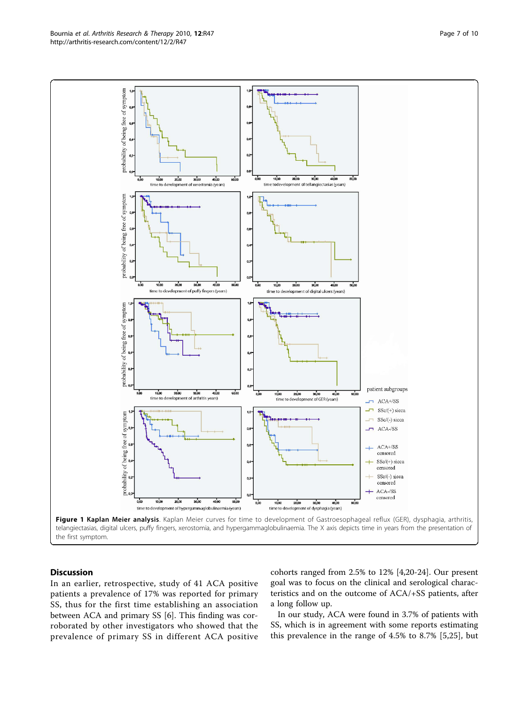<span id="page-6-0"></span>

#### Discussion

In an earlier, retrospective, study of 41 ACA positive patients a prevalence of 17% was reported for primary SS, thus for the first time establishing an association between ACA and primary SS [\[6\]](#page-8-0). This finding was corroborated by other investigators who showed that the prevalence of primary SS in different ACA positive cohorts ranged from 2.5% to 12% [[4,20-](#page-8-0)[24\]](#page-9-0). Our present goal was to focus on the clinical and serological characteristics and on the outcome of ACA/+SS patients, after a long follow up.

In our study, ACA were found in 3.7% of patients with SS, which is in agreement with some reports estimating this prevalence in the range of 4.5% to 8.7% [\[5](#page-8-0),[25\]](#page-9-0), but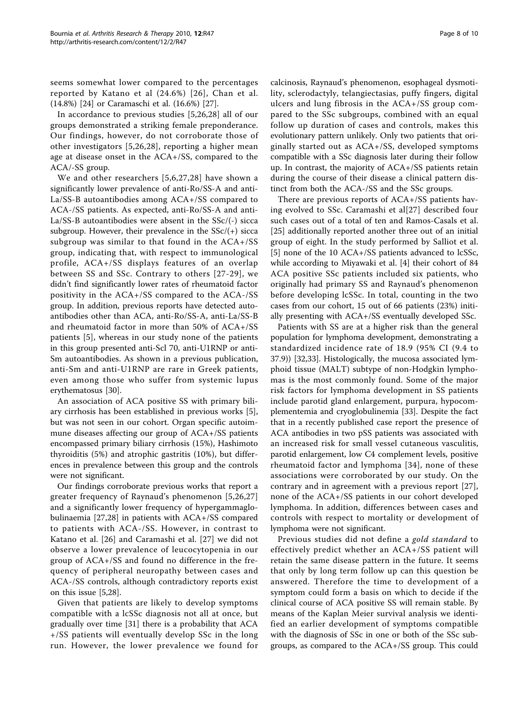seems somewhat lower compared to the percentages reported by Katano et al (24.6%) [[26\]](#page-9-0), Chan et al. (14.8%) [\[24\]](#page-9-0) or Caramaschi et al. (16.6%) [\[27](#page-9-0)].

In accordance to previous studies [[5,](#page-8-0)[26,28](#page-9-0)] all of our groups demonstrated a striking female preponderance. Our findings, however, do not corroborate those of other investigators [[5,](#page-8-0)[26](#page-9-0),[28](#page-9-0)], reporting a higher mean age at disease onset in the ACA+/SS, compared to the ACA/-SS group.

We and other researchers [[5,6](#page-8-0),[27](#page-9-0),[28](#page-9-0)] have shown a significantly lower prevalence of anti-Ro/SS-A and anti-La/SS-B autoantibodies among ACA+/SS compared to ACA-/SS patients. As expected, anti-Ro/SS-A and anti-La/SS-B autoantibodies were absent in the SSc/(-) sicca subgroup. However, their prevalence in the  $SSc/(+)$  sicca subgroup was similar to that found in the ACA+/SS group, indicating that, with respect to immunological profile, ACA+/SS displays features of an overlap between SS and SSc. Contrary to others [[27-29](#page-9-0)], we didn't find significantly lower rates of rheumatoid factor positivity in the ACA+/SS compared to the ACA-/SS group. In addition, previous reports have detected autoantibodies other than ACA, anti-Ro/SS-A, anti-La/SS-B and rheumatoid factor in more than 50% of ACA+/SS patients [[5\]](#page-8-0), whereas in our study none of the patients in this group presented anti-Scl 70, anti-U1RNP or anti-Sm autoantibodies. As shown in a previous publication, anti-Sm and anti-U1RNP are rare in Greek patients, even among those who suffer from systemic lupus erythematosus [[30\]](#page-9-0).

An association of ACA positive SS with primary biliary cirrhosis has been established in previous works [\[5](#page-8-0)], but was not seen in our cohort. Organ specific autoimmune diseases affecting our group of ACA+/SS patients encompassed primary biliary cirrhosis (15%), Hashimoto thyroiditis (5%) and atrophic gastritis (10%), but differences in prevalence between this group and the controls were not significant.

Our findings corroborate previous works that report a greater frequency of Raynaud's phenomenon [[5](#page-8-0),[26,27](#page-9-0)] and a significantly lower frequency of hypergammaglobulinaemia [[27,28\]](#page-9-0) in patients with ACA+/SS compared to patients with ACA-/SS. However, in contrast to Katano et al. [\[26](#page-9-0)] and Caramashi et al. [\[27](#page-9-0)] we did not observe a lower prevalence of leucocytopenia in our group of ACA+/SS and found no difference in the frequency of peripheral neuropathy between cases and ACA-/SS controls, although contradictory reports exist on this issue [[5](#page-8-0),[28](#page-9-0)].

Given that patients are likely to develop symptoms compatible with a lcSSc diagnosis not all at once, but gradually over time [[31\]](#page-9-0) there is a probability that ACA +/SS patients will eventually develop SSc in the long run. However, the lower prevalence we found for

calcinosis, Raynaud's phenomenon, esophageal dysmotility, sclerodactyly, telangiectasias, puffy fingers, digital ulcers and lung fibrosis in the ACA+/SS group compared to the SSc subgroups, combined with an equal follow up duration of cases and controls, makes this evolutionary pattern unlikely. Only two patients that originally started out as ACA+/SS, developed symptoms compatible with a SSc diagnosis later during their follow up. In contrast, the majority of ACA+/SS patients retain during the course of their disease a clinical pattern distinct from both the ACA-/SS and the SSc groups.

There are previous reports of ACA+/SS patients having evolved to SSc. Caramashi et al[[27](#page-9-0)] described four such cases out of a total of ten and Ramos-Casals et al. [[25\]](#page-9-0) additionally reported another three out of an initial group of eight. In the study performed by Salliot et al. [[5\]](#page-8-0) none of the 10 ACA+/SS patients advanced to lcSSc, while according to Miyawaki et al. [[4](#page-8-0)] their cohort of 84 ACA positive SSc patients included six patients, who originally had primary SS and Raynaud's phenomenon before developing lcSSc. In total, counting in the two cases from our cohort, 15 out of 66 patients (23%) initially presenting with ACA+/SS eventually developed SSc.

Patients with SS are at a higher risk than the general population for lymphoma development, demonstrating a standardized incidence rate of 18.9 (95% CI (9.4 to 37.9)) [\[32,33](#page-9-0)]. Histologically, the mucosa associated lymphoid tissue (MALT) subtype of non-Hodgkin lymphomas is the most commonly found. Some of the major risk factors for lymphoma development in SS patients include parotid gland enlargement, purpura, hypocomplementemia and cryoglobulinemia [[33](#page-9-0)]. Despite the fact that in a recently published case report the presence of ACA antibodies in two pSS patients was associated with an increased risk for small vessel cutaneous vasculitis, parotid enlargement, low C4 complement levels, positive rheumatoid factor and lymphoma [\[34\]](#page-9-0), none of these associations were corroborated by our study. On the contrary and in agreement with a previous report [[27](#page-9-0)], none of the ACA+/SS patients in our cohort developed lymphoma. In addition, differences between cases and controls with respect to mortality or development of lymphoma were not significant.

Previous studies did not define a gold standard to effectively predict whether an ACA+/SS patient will retain the same disease pattern in the future. It seems that only by long term follow up can this question be answered. Therefore the time to development of a symptom could form a basis on which to decide if the clinical course of ACA positive SS will remain stable. By means of the Kaplan Meier survival analysis we identified an earlier development of symptoms compatible with the diagnosis of SSc in one or both of the SSc subgroups, as compared to the ACA+/SS group. This could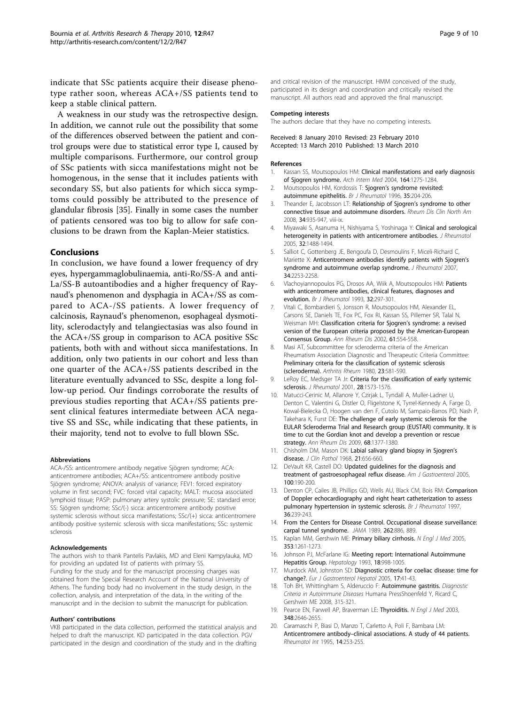<span id="page-8-0"></span>indicate that SSc patients acquire their disease phenotype rather soon, whereas ACA+/SS patients tend to keep a stable clinical pattern.

A weakness in our study was the retrospective design. In addition, we cannot rule out the possibility that some of the differences observed between the patient and control groups were due to statistical error type I, caused by multiple comparisons. Furthermore, our control group of SSc patients with sicca manifestations might not be homogenous, in the sense that it includes patients with secondary SS, but also patients for which sicca symptoms could possibly be attributed to the presence of glandular fibrosis [[35\]](#page-9-0). Finally in some cases the number of patients censored was too big to allow for safe conclusions to be drawn from the Kaplan-Meier statistics.

#### Conclusions

In conclusion, we have found a lower frequency of dry eyes, hypergammaglobulinaemia, anti-Ro/SS-A and anti-La/SS-B autoantibodies and a higher frequency of Raynaud's phenomenon and dysphagia in ACA+/SS as compared to ACA-/SS patients. A lower frequency of calcinosis, Raynaud's phenomenon, esophageal dysmotility, sclerodactyly and telangiectasias was also found in the ACA+/SS group in comparison to ACA positive SSc patients, both with and without sicca manifestations. In addition, only two patients in our cohort and less than one quarter of the ACA+/SS patients described in the literature eventually advanced to SSc, despite a long follow-up period. Our findings corroborate the results of previous studies reporting that ACA+/SS patients present clinical features intermediate between ACA negative SS and SSc, while indicating that these patients, in their majority, tend not to evolve to full blown SSc.

#### Abbreviations

ACA-/SS: anticentromere antibody negative Sjögren syndrome; ACA: anticentromere antibodies; ACA+/SS: anticentromere antibody positive Sjögren syndrome; ANOVA: analysis of variance; FEV1: forced expiratory volume in first second; FVC: forced vital capacity; MALT: mucosa associated lymphoid tissue; PASP: pulmonary artery systolic pressure; SE: standard error; SS: Sjögren syndrome; SSc/(-) sicca: anticentromere antibody positive systemic sclerosis without sicca manifestations; SSc/(+) sicca: anticentromere antibody positive systemic sclerosis with sicca manifestations; SSc: systemic sclerosis

#### Acknowledgements

The authors wish to thank Pantelis Pavlakis, MD and Eleni Kampylauka, MD for providing an updated list of patients with primary SS. Funding for the study and for the manuscript processing charges was obtained from the Special Research Account of the National University of Athens. The funding body had no involvement in the study design, in the collection, analysis, and interpretation of the data, in the writing of the manuscript and in the decision to submit the manuscript for publication.

#### Authors' contributions

VKB participated in the data collection, performed the statistical analysis and helped to draft the manuscript. KD participated in the data collection. PGV participated in the design and coordination of the study and in the drafting

and critical revision of the manuscript. HMM conceived of the study, participated in its design and coordination and critically revised the manuscript. All authors read and approved the final manuscript.

#### Competing interests

The authors declare that they have no competing interests.

#### Received: 8 January 2010 Revised: 23 February 2010 Accepted: 13 March 2010 Published: 13 March 2010

#### References

- 1. Kassan SS, Moutsopoulos HM: [Clinical manifestations and early diagnosis](http://www.ncbi.nlm.nih.gov/pubmed/15226160?dopt=Abstract) [of Sjogren syndrome.](http://www.ncbi.nlm.nih.gov/pubmed/15226160?dopt=Abstract) Arch Intern Med 2004, 164:1275-1284.
- 2. Moutsopoulos HM, Kordossis T: Sjogren'[s syndrome revisited:](http://www.ncbi.nlm.nih.gov/pubmed/8620292?dopt=Abstract) [autoimmune epithelitis.](http://www.ncbi.nlm.nih.gov/pubmed/8620292?dopt=Abstract) Br J Rheumatol 1996, 35:204-206.
- 3. Theander E, Jacobsson LT: [Relationship of Sjogren](http://www.ncbi.nlm.nih.gov/pubmed/18984413?dopt=Abstract)'s syndrome to other [connective tissue and autoimmune disorders.](http://www.ncbi.nlm.nih.gov/pubmed/18984413?dopt=Abstract) Rheum Dis Clin North Am 2008, 34:935-947, viii-ix.
- 4. Miyawaki S, Asanuma H, Nishiyama S, Yoshinaga Y: [Clinical and serological](http://www.ncbi.nlm.nih.gov/pubmed/16078324?dopt=Abstract) [heterogeneity in patients with anticentromere antibodies.](http://www.ncbi.nlm.nih.gov/pubmed/16078324?dopt=Abstract) J Rheumatol 2005, 32:1488-1494.
- 5. Salliot C, Gottenberg JE, Bengoufa D, Desmoulins F, Miceli-Richard C, Mariette X: [Anticentromere antibodies identify patients with Sjogren](http://www.ncbi.nlm.nih.gov/pubmed/17937465?dopt=Abstract)'s [syndrome and autoimmune overlap syndrome.](http://www.ncbi.nlm.nih.gov/pubmed/17937465?dopt=Abstract) *J Rheumatol* 2007, 34:2253-2258.
- 6. Vlachoyiannopoulos PG, Drosos AA, Wiik A, Moutsopoulos HM: [Patients](http://www.ncbi.nlm.nih.gov/pubmed/8461923?dopt=Abstract) [with anticentromere antibodies, clinical features, diagnoses and](http://www.ncbi.nlm.nih.gov/pubmed/8461923?dopt=Abstract) [evolution.](http://www.ncbi.nlm.nih.gov/pubmed/8461923?dopt=Abstract) Br J Rheumatol 1993, 32:297-301.
- 7. Vitali C, Bombardieri S, Jonsson R, Moutsopoulos HM, Alexander EL, Carsons SE, Daniels TE, Fox PC, Fox RI, Kassan SS, Pillemer SR, Talal N, Weisman MH: [Classification criteria for Sjogren](http://www.ncbi.nlm.nih.gov/pubmed/12006334?dopt=Abstract)'s syndrome: a revised [version of the European criteria proposed by the American-European](http://www.ncbi.nlm.nih.gov/pubmed/12006334?dopt=Abstract) [Consensus Group.](http://www.ncbi.nlm.nih.gov/pubmed/12006334?dopt=Abstract) Ann Rheum Dis 2002, 61:554-558.
- 8. Masi AT, Subcommittee for scleroderma criteria of the American Rheumatism Association Diagnostic and Therapeutic Criteria Committee: [Preliminary criteria for the classification of systemic sclerosis](http://www.ncbi.nlm.nih.gov/pubmed/7378088?dopt=Abstract) [\(scleroderma\).](http://www.ncbi.nlm.nih.gov/pubmed/7378088?dopt=Abstract) Arthritis Rheum 1980, 23:581-590.
- 9. LeRoy EC, Medsger TA Jr: [Criteria for the classification of early systemic](http://www.ncbi.nlm.nih.gov/pubmed/11469464?dopt=Abstract) [sclerosis.](http://www.ncbi.nlm.nih.gov/pubmed/11469464?dopt=Abstract) J Rheumatol 2001, 28:1573-1576.
- 10. Matucci-Cerinic M, Allanore Y, Czirjak L, Tyndall A, Muller-Ladner U, Denton C, Valentini G, Distler O, Fligelstone K, Tyrrel-Kennedy A, Farge D, Kowal-Bielecka O, Hoogen van den F, Cutolo M, Sampaio-Barros PD, Nash P, Takehara K, Furst DE: [The challenge of early systemic sclerosis for the](http://www.ncbi.nlm.nih.gov/pubmed/19674983?dopt=Abstract) [EULAR Scleroderma Trial and Research group \(EUSTAR\) community. It is](http://www.ncbi.nlm.nih.gov/pubmed/19674983?dopt=Abstract) [time to cut the Gordian knot and develop a prevention or rescue](http://www.ncbi.nlm.nih.gov/pubmed/19674983?dopt=Abstract) [strategy.](http://www.ncbi.nlm.nih.gov/pubmed/19674983?dopt=Abstract) Ann Rheum Dis 2009, 68:1377-1380.
- 11. Chisholm DM, Mason DK: [Labial salivary gland biopsy in Sjogren](http://www.ncbi.nlm.nih.gov/pubmed/5697370?dopt=Abstract)'s [disease.](http://www.ncbi.nlm.nih.gov/pubmed/5697370?dopt=Abstract) J Clin Pathol 1968, 21:656-660.
- 12. DeVault KR, Castell DO: [Updated guidelines for the diagnosis and](http://www.ncbi.nlm.nih.gov/pubmed/15654800?dopt=Abstract) [treatment of gastroesophageal reflux disease.](http://www.ncbi.nlm.nih.gov/pubmed/15654800?dopt=Abstract) Am J Gastroenterol 2005, 100:190-200.
- 13. Denton CP, Cailes JB, Phillips GD, Wells AU, Black CM, Bois RM: [Comparison](http://www.ncbi.nlm.nih.gov/pubmed/9133938?dopt=Abstract) [of Doppler echocardiography and right heart catheterization to assess](http://www.ncbi.nlm.nih.gov/pubmed/9133938?dopt=Abstract) [pulmonary hypertension in systemic sclerosis.](http://www.ncbi.nlm.nih.gov/pubmed/9133938?dopt=Abstract) Br J Rheumatol 1997, 36:239-243.
- 14. From the Centers for Disease Control. Occupational disease surveillance: carpal tunnel syndrome. JAMA 1989, 262:886, 889.
- 15. Kaplan MM, Gershwin ME: [Primary biliary cirrhosis.](http://www.ncbi.nlm.nih.gov/pubmed/16177252?dopt=Abstract) N Engl J Med 2005, 353:1261-1273.
- 16. Johnson PJ, McFarlane IG: [Meeting report: International Autoimmune](http://www.ncbi.nlm.nih.gov/pubmed/8406375?dopt=Abstract) [Hepatitis Group.](http://www.ncbi.nlm.nih.gov/pubmed/8406375?dopt=Abstract) Hepatology 1993, 18:998-1005.
- 17. Murdock AM, Johnston SD: [Diagnostic criteria for coeliac disease: time for](http://www.ncbi.nlm.nih.gov/pubmed/15647639?dopt=Abstract) [change?.](http://www.ncbi.nlm.nih.gov/pubmed/15647639?dopt=Abstract) Eur J Gastroenterol Hepatol 2005, 17:41-43.
- 18. Toh BH, Whittingham S, Alderuccio F: Autoimmune gastritis. Diagnostic Criteria in Autoimmune Diseases Humana PressShoenfeld Y, Ricard C, Gershwin ME 2008, 315-321.
- 19. Pearce EN, Farwell AP, Braverman LE: [Thyroiditis.](http://www.ncbi.nlm.nih.gov/pubmed/12826640?dopt=Abstract) N Engl J Med 2003, 348:2646-2655.
- 20. Caramaschi P, Biasi D, Manzo T, Carletto A, Poli F, Bambara LM: Anticentromere antibody–[clinical associations. A study of 44 patients.](http://www.ncbi.nlm.nih.gov/pubmed/7597381?dopt=Abstract) Rheumatol Int 1995, 14:253-255.